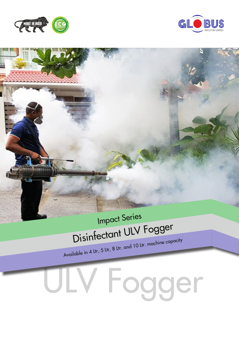



## Disinfectant ULV Fogger Impact Series

Available in 4 Ltr, 5 Ltr, 8 Ltr. and 10 Ltr. machine capacity

## ULV Fogger